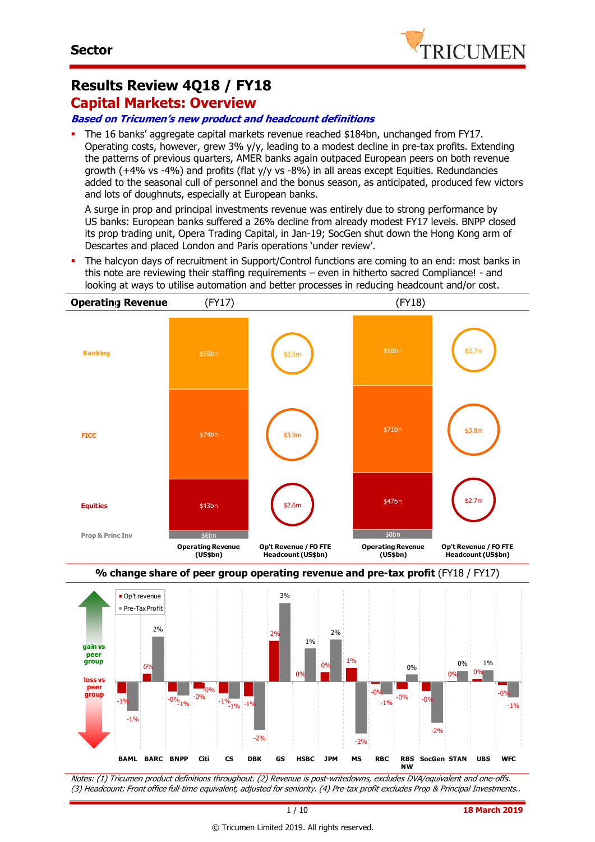

# **Results Review 4Q18 / FY18**

### **Capital Markets: Overview**

#### **Based on Tricumen's new product and headcount definitions**

 The 16 banks' aggregate capital markets revenue reached \$184bn, unchanged from FY17. Operating costs, however, grew 3% y/y, leading to a modest decline in pre-tax profits. Extending the patterns of previous quarters, AMER banks again outpaced European peers on both revenue growth  $(+4%$  vs -4%) and profits (flat y/y vs -8%) in all areas except Equities. Redundancies added to the seasonal cull of personnel and the bonus season, as anticipated, produced few victors and lots of doughnuts, especially at European banks.

A surge in prop and principal investments revenue was entirely due to strong performance by US banks: European banks suffered a 26% decline from already modest FY17 levels. BNPP closed its prop trading unit, Opera Trading Capital, in Jan-19; SocGen shut down the Hong Kong arm of Descartes and placed London and Paris operations 'under review'.

 The halcyon days of recruitment in Support/Control functions are coming to an end: most banks in this note are reviewing their staffing requirements – even in hitherto sacred Compliance! - and looking at ways to utilise automation and better processes in reducing headcount and/or cost.



-1%  $0<sup>0</sup>$  $-0\frac{10}{1}\%$   $-1\%$   $-1\%$   $-1\%$   $-1\%$ 0%  $10<sub>6</sub>$  $\begin{array}{|c|c|c|c|c|}\n\hline\n-0\% & -0\% & -0\% \\
\hline\n-10\% & -0\% & -0\% \\
\hline\n\end{array}$ 0% 0% -0%  $-1%$  $-0\%$ <sub>-1%</sub> -0% -2% 1% -2%  $-1%$  $0%$ -2% 0% 1% -1% **BAML BARC BNPP Citi CS DBK GS HSBC JPM MS RBC RBS NW SocGen STAN UBS WFC gain vs peer group loss vs peer group**

Notes: (1) Tricumen product definitions throughout. (2) Revenue is post-writedowns, excludes DVA/equivalent and one-offs. (3) Headcount: Front office full-time equivalent, adjusted for seniority. (4) Pre-tax profit excludes Prop & Principal Investments..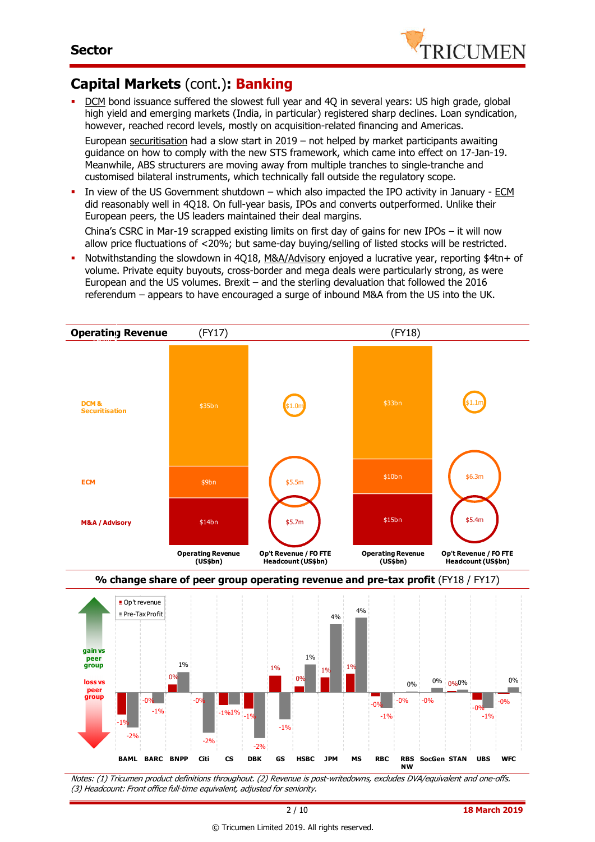

# **Capital Markets** (cont.)**: Banking**

 DCM bond issuance suffered the slowest full year and 4Q in several years: US high grade, global high yield and emerging markets (India, in particular) registered sharp declines. Loan syndication, however, reached record levels, mostly on acquisition-related financing and Americas.

European securitisation had a slow start in 2019 - not helped by market participants awaiting guidance on how to comply with the new STS framework, which came into effect on 17-Jan-19. Meanwhile, ABS structurers are moving away from multiple tranches to single-tranche and customised bilateral instruments, which technically fall outside the regulatory scope.

 In view of the US Government shutdown – which also impacted the IPO activity in January - ECM did reasonably well in 4Q18. On full-year basis, IPOs and converts outperformed. Unlike their European peers, the US leaders maintained their deal margins.

China's CSRC in Mar-19 scrapped existing limits on first day of gains for new IPOs – it will now allow price fluctuations of <20%; but same-day buying/selling of listed stocks will be restricted.

 Notwithstanding the slowdown in 4Q18, M&A/Advisory enjoyed a lucrative year, reporting \$4tn+ of volume. Private equity buyouts, cross-border and mega deals were particularly strong, as were European and the US volumes. Brexit – and the sterling devaluation that followed the 2016 referendum – appears to have encouraged a surge of inbound M&A from the US into the UK.



-1% -0% 0% -0%  $-1\%1\%$   $-1\%$ 1% 0%  $1\%$   $1\%$  $-0\%$   $-0\%$   $-0\%$ 0% 0% 0% 0%  $-0\%$   $-0\%$ -2% -1% 1% -2% -2% -1% 1% -1% -1% 0% **BAML BARC BNPP Citi CS DBK GS HSBC JPM MS RBC RBS NW SocGen STAN UBS WFC gain vs peer group loss vs p group**

Notes: (1) Tricumen product definitions throughout. (2) Revenue is post-writedowns, excludes DVA/equivalent and one-offs. (3) Headcount: Front office full-time equivalent, adjusted for seniority.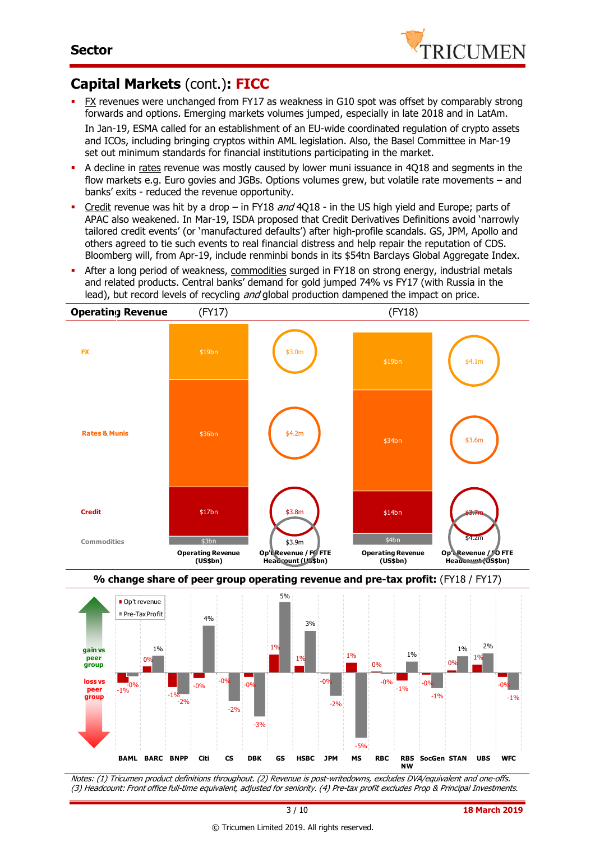

# **Capital Markets** (cont.)**: FICC**

- FX revenues were unchanged from FY17 as weakness in G10 spot was offset by comparably strong forwards and options. Emerging markets volumes jumped, especially in late 2018 and in LatAm. In Jan-19, ESMA called for an establishment of an EU-wide coordinated regulation of crypto assets and ICOs, including bringing cryptos within AML legislation. Also, the Basel Committee in Mar-19 set out minimum standards for financial institutions participating in the market.
- A decline in rates revenue was mostly caused by lower muni issuance in 4Q18 and segments in the flow markets e.g. Euro govies and JGBs. Options volumes grew, but volatile rate movements – and banks' exits - reduced the revenue opportunity.
- Credit revenue was hit by a drop in FY18 and 4018 in the US high yield and Europe; parts of APAC also weakened. In Mar-19, ISDA proposed that Credit Derivatives Definitions avoid 'narrowly tailored credit events' (or 'manufactured defaults') after high-profile scandals. GS, JPM, Apollo and others agreed to tie such events to real financial distress and help repair the reputation of CDS. Bloomberg will, from Apr-19, include renminbi bonds in its \$54tn Barclays Global Aggregate Index.
- After a long period of weakness, commodities surged in FY18 on strong energy, industrial metals and related products. Central banks' demand for gold jumped 74% vs FY17 (with Russia in the lead), but record levels of recycling *and* global production dampened the impact on price.







Notes: (1) Tricumen product definitions throughout. (2) Revenue is post-writedowns, excludes DVA/equivalent and one-offs. (3) Headcount: Front office full-time equivalent, adjusted for seniority. (4) Pre-tax profit excludes Prop & Principal Investments.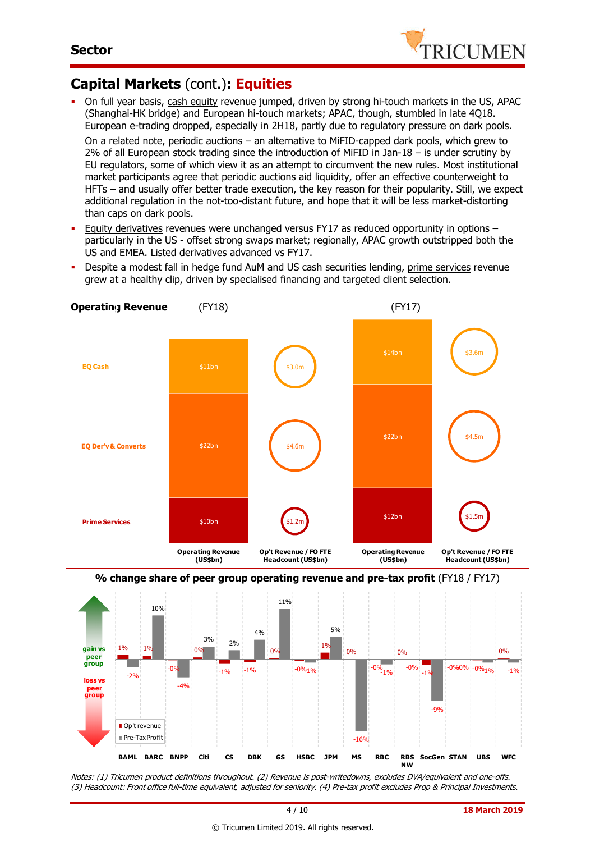

# **Capital Markets** (cont.)**: Equities**

 $-4%$ 

Op't revenue Pre-Tax Profit

**peer group**

 On full year basis, cash equity revenue jumped, driven by strong hi-touch markets in the US, APAC (Shanghai-HK bridge) and European hi-touch markets; APAC, though, stumbled in late 4Q18. European e-trading dropped, especially in 2H18, partly due to regulatory pressure on dark pools.

On a related note, periodic auctions – an alternative to MiFID-capped dark pools, which grew to 2% of all European stock trading since the introduction of MiFID in Jan-18 – is under scrutiny by EU regulators, some of which view it as an attempt to circumvent the new rules. Most institutional market participants agree that periodic auctions aid liquidity, offer an effective counterweight to HFTs – and usually offer better trade execution, the key reason for their popularity. Still, we expect additional regulation in the not-too-distant future, and hope that it will be less market-distorting than caps on dark pools.

- Equity derivatives revenues were unchanged versus FY17 as reduced opportunity in options particularly in the US - offset strong swaps market; regionally, APAC growth outstripped both the US and EMEA. Listed derivatives advanced vs FY17.
- **Operating Revenue** (FY18) (FY17) **% change share of peer group operating revenue and pre-tax profit** (FY18 / FY17)  $$10bn$  \$12bn \$12bn  $$22br$ \$22bn \$11bn \$14bn **Prime Services** \$20bn **EQ Der'v& Converts Operating Revenue (US\$bn) Operating Revenue (US\$bn) Op't Revenue / FO FTE Headcount (US\$bn) Op't Revenue / FO FTE Headcount (US\$bn) EQ Cash** \$3.0m \$4.6m \$1.2m \$3.6m \$4.5m \$1.5m 1% 1% -ሰ  $\mathbf{0}$  $-1\%$   $-1\%$ 0%  $-0\%$ 1% 1% 0% -0% 0%  $-1\%$   $-0\%$   $-0\%$   $1\%$   $-1\%$ 0% -2% 10%  $3\%$  2%  $4%$ 11% 5%  $\frac{6}{-1\%}$  -0% **gain vs peer group loss vs**
- Despite a modest fall in hedge fund AuM and US cash securities lending, prime services revenue grew at a healthy clip, driven by specialised financing and targeted client selection.

Notes: (1) Tricumen product definitions throughout. (2) Revenue is post-writedowns, excludes DVA/equivalent and one-offs. (3) Headcount: Front office full-time equivalent, adjusted for seniority. (4) Pre-tax profit excludes Prop & Principal Investments.

**BAML BARC BNPP Citi CS DBK GS HSBC JPM MS RBC RBS** 

-16%

**SocGen STAN UBS WFC**

-9%

**NW**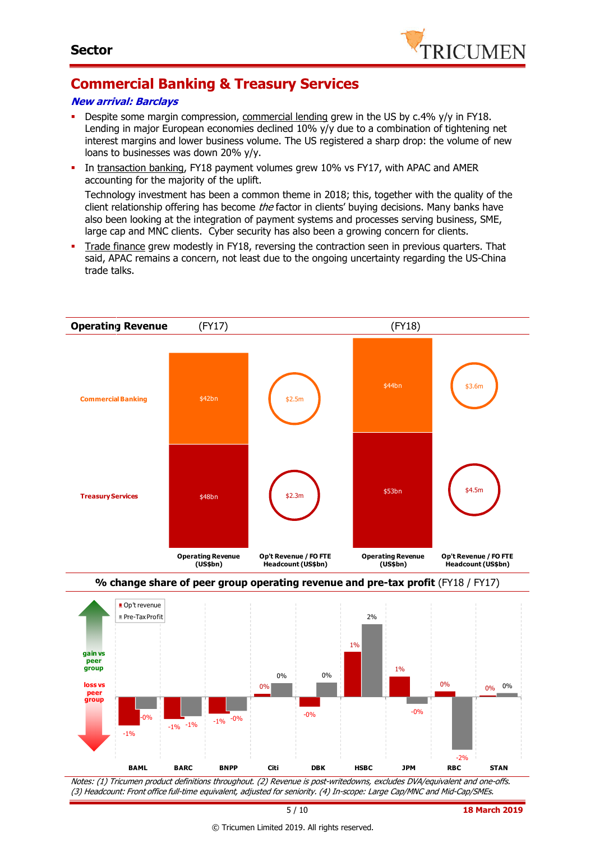

# **Commercial Banking & Treasury Services**

#### **New arrival: Barclays**

- Despite some margin compression, commercial lending grew in the US by c.4% y/y in FY18. Lending in major European economies declined 10% y/y due to a combination of tightening net interest margins and lower business volume. The US registered a sharp drop: the volume of new loans to businesses was down 20% y/y.
- In transaction banking, FY18 payment volumes grew 10% vs FY17, with APAC and AMER accounting for the majority of the uplift.

Technology investment has been a common theme in 2018; this, together with the quality of the client relationship offering has become *the* factor in clients' buying decisions. Many banks have also been looking at the integration of payment systems and processes serving business, SME, large cap and MNC clients. Cyber security has also been a growing concern for clients.

 Trade finance grew modestly in FY18, reversing the contraction seen in previous quarters. That said, APAC remains a concern, not least due to the ongoing uncertainty regarding the US-China trade talks.



© Tricumen Limited 2019. All rights reserved.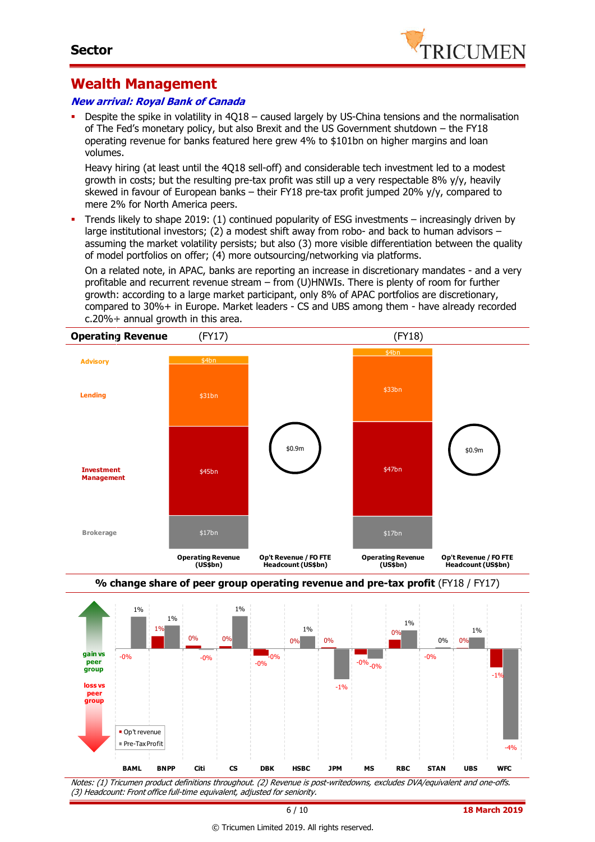

### **Wealth Management**

#### **New arrival: Royal Bank of Canada**

 Despite the spike in volatility in 4Q18 – caused largely by US-China tensions and the normalisation of The Fed's monetary policy, but also Brexit and the US Government shutdown – the FY18 operating revenue for banks featured here grew 4% to \$101bn on higher margins and loan volumes.

Heavy hiring (at least until the 4Q18 sell-off) and considerable tech investment led to a modest growth in costs; but the resulting pre-tax profit was still up a very respectable 8% y/y, heavily skewed in favour of European banks – their FY18 pre-tax profit jumped 20% y/y, compared to mere 2% for North America peers.

 Trends likely to shape 2019: (1) continued popularity of ESG investments – increasingly driven by large institutional investors; (2) a modest shift away from robo- and back to human advisors – assuming the market volatility persists; but also (3) more visible differentiation between the quality of model portfolios on offer; (4) more outsourcing/networking via platforms.

On a related note, in APAC, banks are reporting an increase in discretionary mandates - and a very profitable and recurrent revenue stream – from (U)HNWIs. There is plenty of room for further growth: according to a large market participant, only 8% of APAC portfolios are discretionary, compared to 30%+ in Europe. Market leaders - CS and UBS among them - have already recorded c.20%+ annual growth in this area.







Notes: (1) Tricumen product definitions throughout. (2) Revenue is post-writedowns, excludes DVA/equivalent and one-offs. (3) Headcount: Front office full-time equivalent, adjusted for seniority.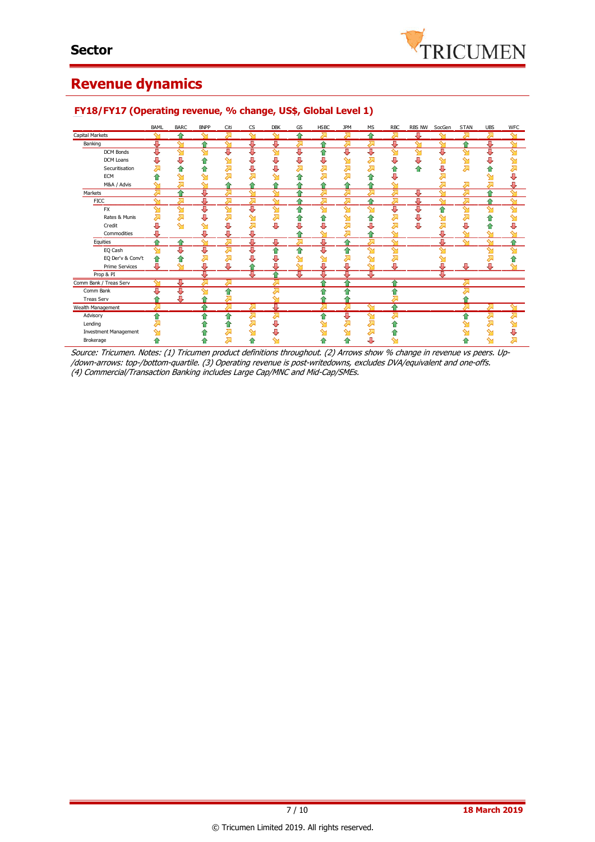

## **Revenue dynamics**

|                              | BAML                    | <b>BARC</b> | <b>BNPP</b> | Citi               | <b>CS</b> | <b>DBK</b> | GS | <b>HSBC</b> | <b>JPM</b> | МS     | <b>RBC</b> | RBS NW | SocGen             | <b>STAN</b>        | <b>UBS</b>         | <b>WFC</b>         |
|------------------------------|-------------------------|-------------|-------------|--------------------|-----------|------------|----|-------------|------------|--------|------------|--------|--------------------|--------------------|--------------------|--------------------|
| Capital Markets              | ∾                       | ♠           | ∾           | 겨                  | ∾         | ∾          | 合  | み           | ⋝          | ♠      | ⋝          | Д      | ∾                  | ↗                  | ⇗                  | $\sim$             |
| Banking                      | Д                       | ∾           |             | ∾                  | л         | д          | ⋝  |             |            |        | л          |        |                    | 4                  | л                  | ∾                  |
| <b>DCM Bonds</b>             | U                       | ഷ           | ∾           | J                  | U         | ഷ          | J  | ♠           | Д          | U      | ഷ          | ഷ      | J                  | $\mathbf{\hat{y}}$ | J                  | $\mathbf{\hat{M}}$ |
| DCM Loans                    | U                       | J           | ⇑           | M                  | U         | U          | U  | J           | ⇘          | ⋝      |            | U      |                    |                    |                    | ഷ                  |
| Securitisation               | ⊼                       | ⇑           | ⇧           | Д                  | U         |            |    |             |            |        |            |        | J                  |                    |                    |                    |
| ECM                          |                         | ഷ           | ∾           | 겨                  | 对         |            | Ωñ |             |            |        |            |        |                    |                    |                    |                    |
| M&A / Advis                  | ∾                       | ⋝           | $\sim$      |                    |           |            |    |             |            |        | $\sim$     |        | ⊼                  | ⋝                  | Σ                  | U                  |
| Markets                      | ⋝                       | ♠           | ŋĵ.         |                    | $\sim$    | $\sim$     |    |             |            |        | Σ          | Д      | $\sim$             |                    | ۵                  | ∾                  |
| <b>FICC</b>                  | $\overline{\mathsf{S}}$ | ⋝           | Д           | ⋝                  | ⋝         | ↬          | ≏  | ⋝           | ⋝          |        | ⋝          | J      | $\mathbf{\hat{M}}$ | ↗                  | ↷                  | $\mathbf{\hat{y}}$ |
| <b>FX</b>                    | ∾                       | ഷ           | ⇩           | $\mathbf{\hat{y}}$ | J         | ഷ          | ⋒  | $\sim$      | ∾          | ∾      | J          | U      | €                  | ∾                  | $\mathbf{\hat{M}}$ | ↬                  |
| Rates & Munis                | 对                       | ⇗           | ⇩           | $\sum$             | ഷ         | ⇗          |    |             |            |        | 运          | U      |                    |                    |                    | ⇘                  |
| Credit                       | U                       | ഷ           | $\sim$      | J                  | Σ         | U          |    |             |            |        | ⋝          | J      | Σ                  | J                  |                    | U                  |
| Commodities                  | U                       |             | IJ,         | J,                 | J         |            |    | ∾           |            |        | ∾          |        | л                  | ∼                  | ∼                  |                    |
| Equities                     | ۰                       | ≏           | $\sim$      | ⋝                  | J         | J          | 运  | J           |            | Σ      | ഷ          |        | л                  | ∾                  | $\mathbf{M}$       | ۰                  |
| EQ Cash                      | ∾                       | J           | ⇩           | ⇗                  | ⇩         | ⇑          | ⇑  | J           |            | ∾      | ഷ          |        | ∾                  |                    | ∾                  | ∾                  |
| EQ Der'v & Conv't            |                         | ⇑           | Σ           | 겨                  | J,        | U          | ↬  | ↬           |            | ∾      | 겨          |        |                    |                    |                    |                    |
| <b>Prime Services</b>        | J                       | ∾           | J           | J,                 |           | J,         | ள  | J           | ⊕          | ∾      | J          |        | J,                 | л                  | л                  |                    |
| Prop & PI                    |                         |             | д           |                    | π         |            | π  | Д           | τ          | J.     |            |        | π                  |                    |                    |                    |
| Comm Bank / Treas Serv       |                         | щ           | ╱∼          | $\lambda$          |           | λ          |    | ≙           | ♦          |        | ⊕          |        |                    | G                  |                    |                    |
| Comm Bank                    |                         |             | ∾           |                    |           |            |    |             |            |        |            |        |                    |                    |                    |                    |
| <b>Treas Serv</b>            |                         | Л,          |             |                    |           |            |    |             |            |        |            |        |                    |                    |                    |                    |
| Wealth Management            | ∽                       |             |             |                    | ╱         | Д,         |    |             |            |        |            |        |                    |                    |                    |                    |
| Advisory                     | ⇑                       |             | ≏           | 合                  | ↗         | ⋝          |    | 습           | J          | $\sim$ | ⋝          |        |                    |                    | Σ                  | ⊼                  |
| Lending                      |                         |             |             | ⇮                  | ⋝         | J,         |    |             |            | Σ      |            |        |                    |                    | Σ                  | ↬                  |
| <b>Investment Management</b> |                         |             |             | ᇬ                  | ഷ         |            |    |             |            | ⋝      |            |        |                    |                    |                    |                    |
| Brokerage                    |                         |             |             | ⋝                  |           |            |    |             |            | J,     |            |        |                    |                    | ∾                  |                    |

#### **FY18/FY17 (Operating revenue, % change, US\$, Global Level 1)**

Source: Tricumen. Notes: (1) Tricumen product definitions throughout. (2) Arrows show % change in revenue vs peers. Up- /down-arrows: top-/bottom-quartile. (3) Operating revenue is post-writedowns, excludes DVA/equivalent and one-offs. (4) Commercial/Transaction Banking includes Large Cap/MNC and Mid-Cap/SMEs.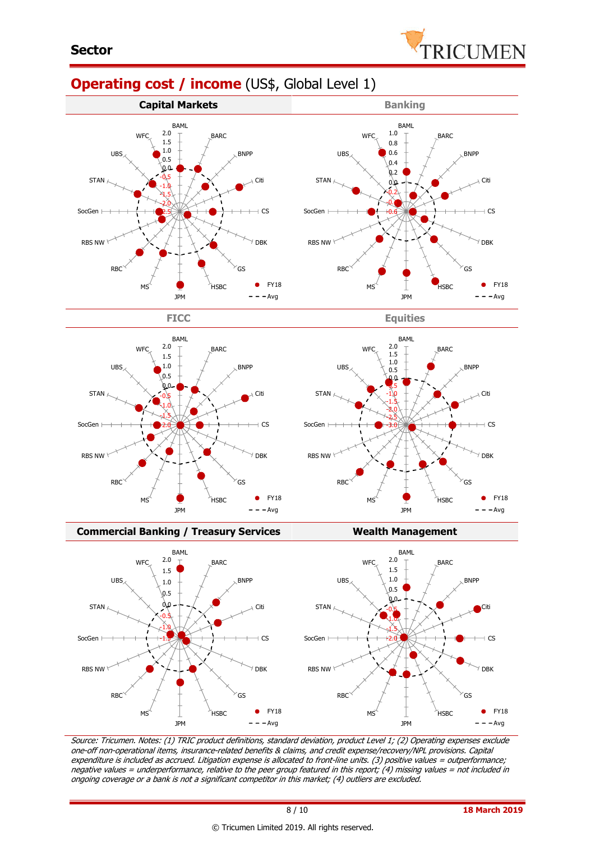

# **Operating cost / income** (US\$, Global Level 1)







#### **Commercial Banking / Treasury Services Wealth Management**



Source: Tricumen. Notes: (1) TRIC product definitions, standard deviation, product Level 1; (2) Operating expenses exclude one-off non-operational items, insurance-related benefits & claims, and credit expense/recovery/NPL provisions. Capital expenditure is included as accrued. Litigation expense is allocated to front-line units. (3) positive values = outperformance; negative values = underperformance, relative to the peer group featured in this report; (4) missing values = not included in ongoing coverage or a bank is not a significant competitor in this market; (4) outliers are excluded.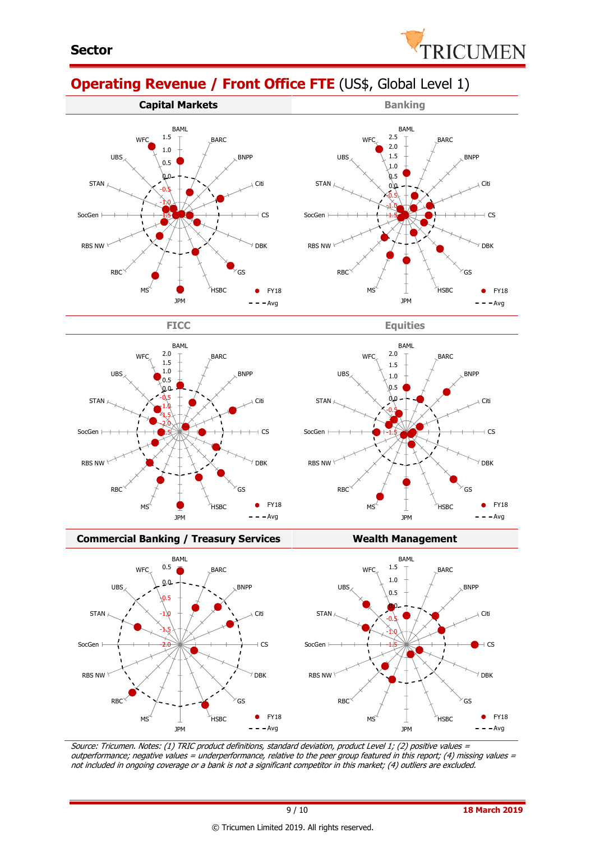

**BARC** 

BNPP

Citi

 $+$  CS

DBK

 $\bullet$ 

FY18  $-Avg$ 

GS

**HSBC** 

# **Operating Revenue / Front Office FTE** (US\$, Global Level 1)









JPM

-1.5 -1.0  $-0.5$  $0.0$  $0.5$ 1.0 1.5 2.0 2.5 BAML

MS

**WFC** 



#### **Commercial Banking / Treasury Services Wealth Management**



Source: Tricumen. Notes: (1) TRIC product definitions, standard deviation, product Level 1; (2) positive values <sup>=</sup> outperformance; negative values = underperformance, relative to the peer group featured in this report; (4) missing values = not included in ongoing coverage or a bank is not a significant competitor in this market; (4) outliers are excluded.